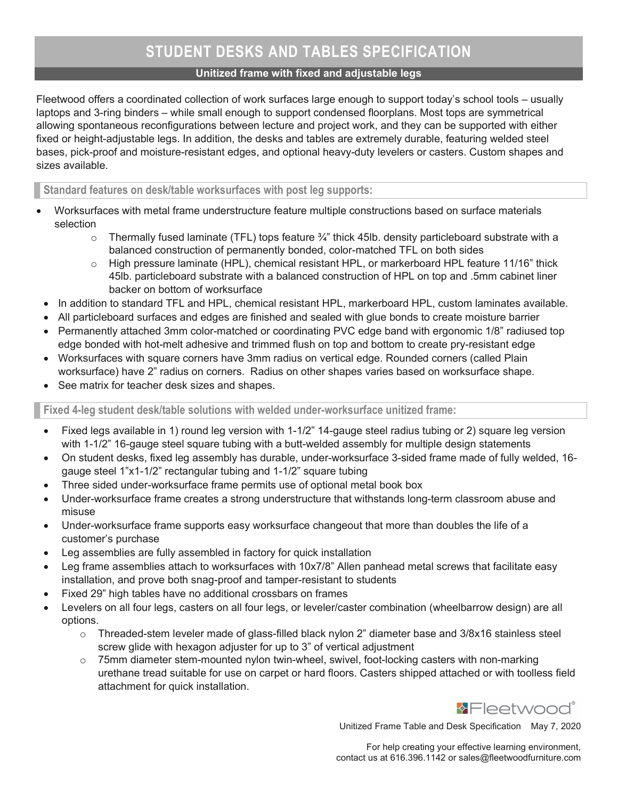## Unitized frame with fixed and adjustable legs

Fleetwood offers a coordinated collection of work surfaces large enough to support today's school tools – usually laptops and 3-ring binders – while small enough to support condensed floorplans. Most tops are symmetrical allowing spontaneous reconfigurations between lecture and project work, and they can be supported with either fixed or height-adjustable legs. In addition, the desks and tables are extremely durable, featuring welded steel bases, pick-proof and moisture-resistant edges, and optional heavy-duty levelers or casters. Custom shapes and sizes available.

Standard features on desk/table worksurfaces with post leg supports:

- Worksurfaces with metal frame understructure feature multiple constructions based on surface materials selection
	- $\circ$  Thermally fused laminate (TFL) tops feature  $\frac{3}{4}$ " thick 45lb. density particleboard substrate with a balanced construction of permanently bonded, color-matched TFL on both sides
	- $\circ$  High pressure laminate (HPL), chemical resistant HPL, or markerboard HPL feature 11/16" thick 45lb. particleboard substrate with a balanced construction of HPL on top and .5mm cabinet liner backer on bottom of worksurface
- In addition to standard TFL and HPL, chemical resistant HPL, markerboard HPL, custom laminates available.
- All particleboard surfaces and edges are finished and sealed with glue bonds to create moisture barrier
- Permanently attached 3mm color-matched or coordinating PVC edge band with ergonomic 1/8" radiused top edge bonded with hot-melt adhesive and trimmed flush on top and bottom to create pry-resistant edge
- Worksurfaces with square corners have 3mm radius on vertical edge. Rounded corners (called Plain worksurface) have 2" radius on corners. Radius on other shapes varies based on worksurface shape.
- See matrix for teacher desk sizes and shapes.

Fixed 4-leg student desk/table solutions with welded under-worksurface unitized frame:

- Fixed legs available in 1) round leg version with 1-1/2" 14-gauge steel radius tubing or 2) square leg version with 1-1/2" 16-gauge steel square tubing with a butt-welded assembly for multiple design statements
- On student desks, fixed leg assembly has durable, under-worksurface 3-sided frame made of fully welded, 16 gauge steel 1"x1-1/2" rectangular tubing and 1-1/2" square tubing
- Three sided under-worksurface frame permits use of optional metal book box
- Under-worksurface frame creates a strong understructure that withstands long-term classroom abuse and misuse
- Under-worksurface frame supports easy worksurface changeout that more than doubles the life of a customer's purchase
- Leg assemblies are fully assembled in factory for quick installation
- Leg frame assemblies attach to worksurfaces with 10x7/8" Allen panhead metal screws that facilitate easy installation, and prove both snag-proof and tamper-resistant to students
- Fixed 29" high tables have no additional crossbars on frames
- Levelers on all four legs, casters on all four legs, or leveler/caster combination (wheelbarrow design) are all options.
	- $\circ$  Threaded-stem leveler made of glass-filled black nylon 2" diameter base and 3/8x16 stainless steel screw glide with hexagon adjuster for up to 3" of vertical adjustment
	- o 75mm diameter stem-mounted nylon twin-wheel, swivel, foot-locking casters with non-marking urethane tread suitable for use on carpet or hard floors. Casters shipped attached or with toolless field attachment for quick installation.



Unitized Frame Table and Desk Specification May 7, 2020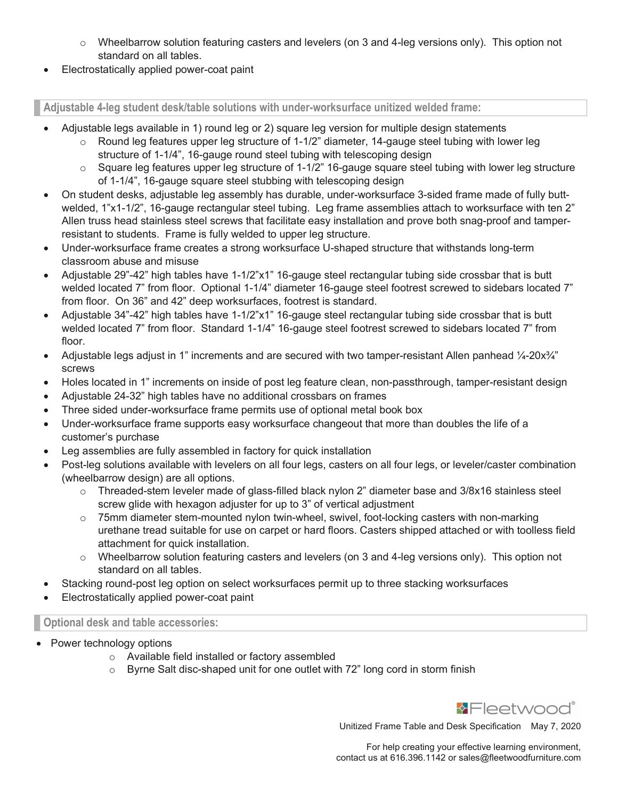- $\circ$  Wheelbarrow solution featuring casters and levelers (on 3 and 4-leg versions only). This option not standard on all tables.
- Electrostatically applied power-coat paint

Adjustable 4-leg student desk/table solutions with under-worksurface unitized welded frame:

- Adjustable legs available in 1) round leg or 2) square leg version for multiple design statements
	- $\circ$  Round leg features upper leg structure of 1-1/2" diameter, 14-gauge steel tubing with lower leg structure of 1-1/4", 16-gauge round steel tubing with telescoping design
		- $\circ$  Square leg features upper leg structure of 1-1/2" 16-gauge square steel tubing with lower leg structure of 1-1/4", 16-gauge square steel stubbing with telescoping design
- On student desks, adjustable leg assembly has durable, under-worksurface 3-sided frame made of fully buttwelded, 1"x1-1/2", 16-gauge rectangular steel tubing. Leg frame assemblies attach to worksurface with ten 2" Allen truss head stainless steel screws that facilitate easy installation and prove both snag-proof and tamperresistant to students. Frame is fully welded to upper leg structure.
- Under-worksurface frame creates a strong worksurface U-shaped structure that withstands long-term classroom abuse and misuse
- Adjustable 29"-42" high tables have 1-1/2"x1" 16-gauge steel rectangular tubing side crossbar that is butt welded located 7" from floor. Optional 1-1/4" diameter 16-gauge steel footrest screwed to sidebars located 7" from floor. On 36" and 42" deep worksurfaces, footrest is standard.
- Adjustable 34"-42" high tables have 1-1/2"x1" 16-gauge steel rectangular tubing side crossbar that is butt welded located 7" from floor. Standard 1-1/4" 16-gauge steel footrest screwed to sidebars located 7" from floor.
- Adjustable legs adjust in 1" increments and are secured with two tamper-resistant Allen panhead 1/4-20x<sup>3</sup>/4" screws
- Holes located in 1" increments on inside of post leg feature clean, non-passthrough, tamper-resistant design
- Adjustable 24-32" high tables have no additional crossbars on frames
- Three sided under-worksurface frame permits use of optional metal book box
- Under-worksurface frame supports easy worksurface changeout that more than doubles the life of a customer's purchase
- Leg assemblies are fully assembled in factory for quick installation
- Post-leg solutions available with levelers on all four legs, casters on all four legs, or leveler/caster combination (wheelbarrow design) are all options.
	- $\circ$  Threaded-stem leveler made of glass-filled black nylon 2" diameter base and 3/8x16 stainless steel screw glide with hexagon adjuster for up to 3" of vertical adjustment
	- $\circ$  75mm diameter stem-mounted nylon twin-wheel, swivel, foot-locking casters with non-marking urethane tread suitable for use on carpet or hard floors. Casters shipped attached or with toolless field attachment for quick installation.
	- $\circ$  Wheelbarrow solution featuring casters and levelers (on 3 and 4-leg versions only). This option not standard on all tables.
- Stacking round-post leg option on select worksurfaces permit up to three stacking worksurfaces
- Electrostatically applied power-coat paint

## Optional desk and table accessories:

- Power technology options
	- o Available field installed or factory assembled
	- o Byrne Salt disc-shaped unit for one outlet with 72" long cord in storm finish



Unitized Frame Table and Desk Specification May 7, 2020